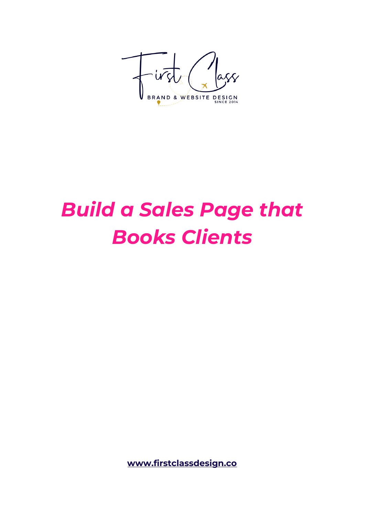

# *Build a Sales Page that Books Clients*

**[www.firstclassdesign.co](http://www.firstclassdesign.co/)**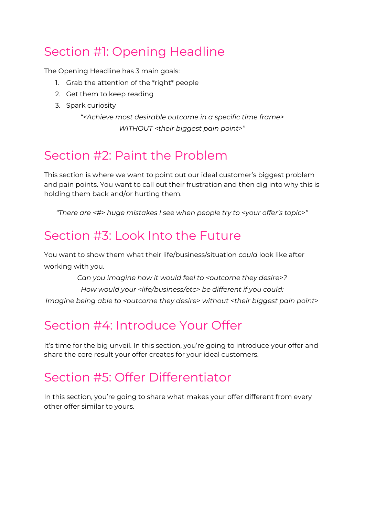# Section #1: Opening Headline

The Opening Headline has 3 main goals:

- 1. Grab the attention of the \*right\* people
- 2. Get them to keep reading
- 3. Spark curiosity

*"<Achieve most desirable outcome in a specific time frame> WITHOUT <their biggest pain point>"*

# Section #2: Paint the Problem

This section is where we want to point out our ideal customer's biggest problem and pain points. You want to call out their frustration and then dig into why this is holding them back and/or hurting them.

*"There are <#> huge mistakes I see when people try to <your offer's topic>"*

# Section #3: Look Into the Future

You want to show them what their life/business/situation *could* look like after working with you.

*Can you imagine how it would feel to <outcome they desire>? How would your <life/business/etc> be different if you could: Imagine being able to <outcome they desire> without <their biggest pain point>*

# Section #4: Introduce Your Offer

It's time for the big unveil. In this section, you're going to introduce your offer and share the core result your offer creates for your ideal customers.

# Section #5: Offer Differentiator

In this section, you're going to share what makes your offer different from every other offer similar to yours.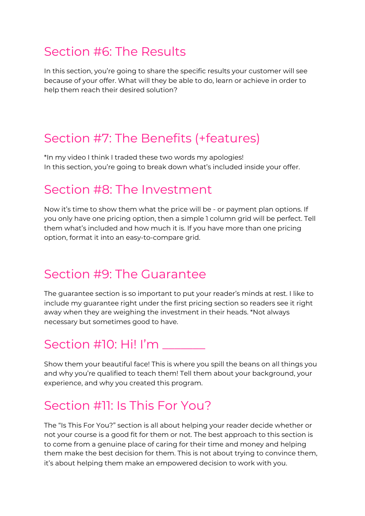## Section #6: The Results

In this section, you're going to share the specific results your customer will see because of your offer. What will they be able to do, learn or achieve in order to help them reach their desired solution?

## Section #7: The Benefits (+features)

\*In my video I think I traded these two words my apologies! In this section, you're going to break down what's included inside your offer.

#### Section #8: The Investment

Now it's time to show them what the price will be - or payment plan options. If you only have one pricing option, then a simple 1 column grid will be perfect. Tell them what's included and how much it is. If you have more than one pricing option, format it into an easy-to-compare grid.

## Section #9: The Guarantee

The guarantee section is so important to put your reader's minds at rest. I like to include my guarantee right under the first pricing section so readers see it right away when they are weighing the investment in their heads. \*Not always necessary but sometimes good to have.

# Section #10: Hi! I'm \_\_\_\_\_\_\_

Show them your beautiful face! This is where you spill the beans on all things you and why you're qualified to teach them! Tell them about your background, your experience, and why you created this program.

# Section #11: Is This For You?

The "Is This For You?" section is all about helping your reader decide whether or not your course is a good fit for them or not. The best approach to this section is to come from a genuine place of caring for their time and money and helping them make the best decision for them. This is not about trying to convince them, it's about helping them make an empowered decision to work with you.